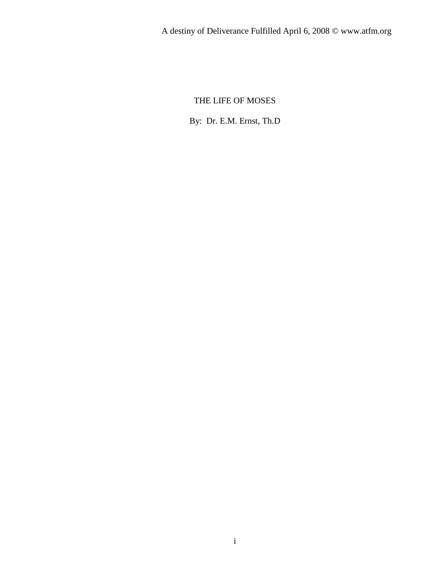# THE LIFE OF MOSES

By: Dr. E.M. Ernst, Th.D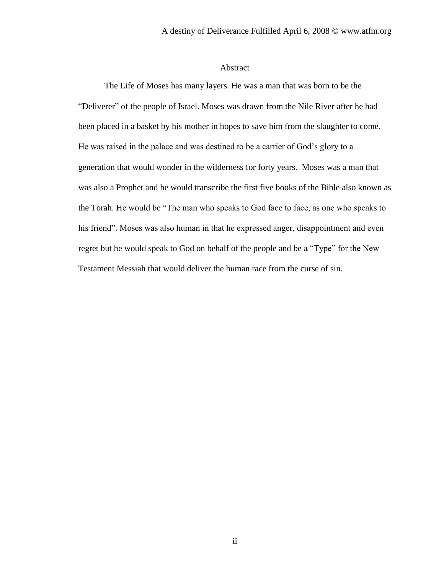## Abstract

The Life of Moses has many layers. He was a man that was born to be the "Deliverer" of the people of Israel. Moses was drawn from the Nile River after he had been placed in a basket by his mother in hopes to save him from the slaughter to come. He was raised in the palace and was destined to be a carrier of God's glory to a generation that would wonder in the wilderness for forty years. Moses was a man that was also a Prophet and he would transcribe the first five books of the Bible also known as the Torah. He would be "The man who speaks to God face to face, as one who speaks to his friend". Moses was also human in that he expressed anger, disappointment and even regret but he would speak to God on behalf of the people and be a "Type" for the New Testament Messiah that would deliver the human race from the curse of sin.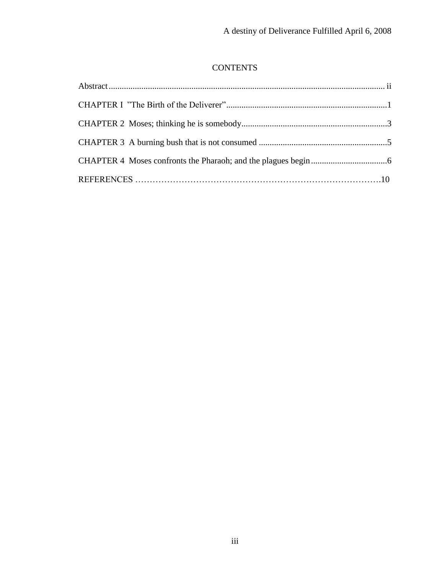# **CONTENTS**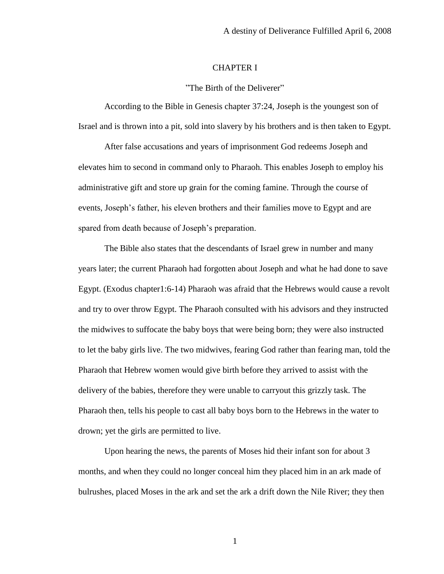### CHAPTER I

"The Birth of the Deliverer"

According to the Bible in Genesis chapter 37:24, Joseph is the youngest son of Israel and is thrown into a pit, sold into slavery by his brothers and is then taken to Egypt.

After false accusations and years of imprisonment God redeems Joseph and elevates him to second in command only to Pharaoh. This enables Joseph to employ his administrative gift and store up grain for the coming famine. Through the course of events, Joseph's father, his eleven brothers and their families move to Egypt and are spared from death because of Joseph's preparation.

The Bible also states that the descendants of Israel grew in number and many years later; the current Pharaoh had forgotten about Joseph and what he had done to save Egypt. (Exodus chapter1:6-14) Pharaoh was afraid that the Hebrews would cause a revolt and try to over throw Egypt. The Pharaoh consulted with his advisors and they instructed the midwives to suffocate the baby boys that were being born; they were also instructed to let the baby girls live. The two midwives, fearing God rather than fearing man, told the Pharaoh that Hebrew women would give birth before they arrived to assist with the delivery of the babies, therefore they were unable to carryout this grizzly task. The Pharaoh then, tells his people to cast all baby boys born to the Hebrews in the water to drown; yet the girls are permitted to live.

Upon hearing the news, the parents of Moses hid their infant son for about 3 months, and when they could no longer conceal him they placed him in an ark made of bulrushes, placed Moses in the ark and set the ark a drift down the Nile River; they then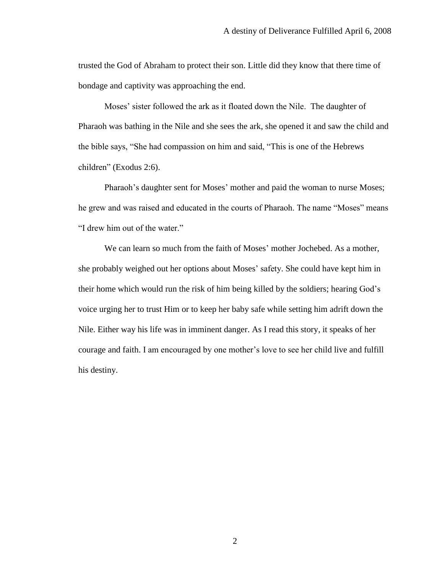trusted the God of Abraham to protect their son. Little did they know that there time of bondage and captivity was approaching the end.

Moses' sister followed the ark as it floated down the Nile. The daughter of Pharaoh was bathing in the Nile and she sees the ark, she opened it and saw the child and the bible says, "She had compassion on him and said, "This is one of the Hebrews children" (Exodus 2:6).

Pharaoh's daughter sent for Moses' mother and paid the woman to nurse Moses; he grew and was raised and educated in the courts of Pharaoh. The name "Moses" means "I drew him out of the water."

We can learn so much from the faith of Moses' mother Jochebed. As a mother, she probably weighed out her options about Moses' safety. She could have kept him in their home which would run the risk of him being killed by the soldiers; hearing God's voice urging her to trust Him or to keep her baby safe while setting him adrift down the Nile. Either way his life was in imminent danger. As I read this story, it speaks of her courage and faith. I am encouraged by one mother's love to see her child live and fulfill his destiny.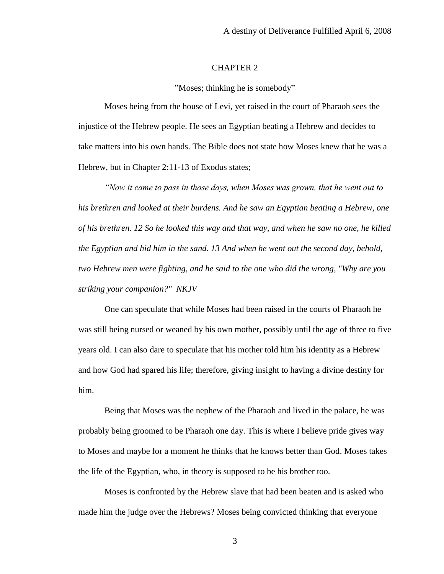## CHAPTER 2

"Moses; thinking he is somebody"

Moses being from the house of Levi, yet raised in the court of Pharaoh sees the injustice of the Hebrew people. He sees an Egyptian beating a Hebrew and decides to take matters into his own hands. The Bible does not state how Moses knew that he was a Hebrew, but in Chapter 2:11-13 of Exodus states;

*"Now it came to pass in those days, when Moses was grown, that he went out to his brethren and looked at their burdens. And he saw an Egyptian beating a Hebrew, one of his brethren. 12 So he looked this way and that way, and when he saw no one, he killed the Egyptian and hid him in the sand. 13 And when he went out the second day, behold, two Hebrew men were fighting, and he said to the one who did the wrong, "Why are you striking your companion?" NKJV*

One can speculate that while Moses had been raised in the courts of Pharaoh he was still being nursed or weaned by his own mother, possibly until the age of three to five years old. I can also dare to speculate that his mother told him his identity as a Hebrew and how God had spared his life; therefore, giving insight to having a divine destiny for him.

Being that Moses was the nephew of the Pharaoh and lived in the palace, he was probably being groomed to be Pharaoh one day. This is where I believe pride gives way to Moses and maybe for a moment he thinks that he knows better than God. Moses takes the life of the Egyptian, who, in theory is supposed to be his brother too.

Moses is confronted by the Hebrew slave that had been beaten and is asked who made him the judge over the Hebrews? Moses being convicted thinking that everyone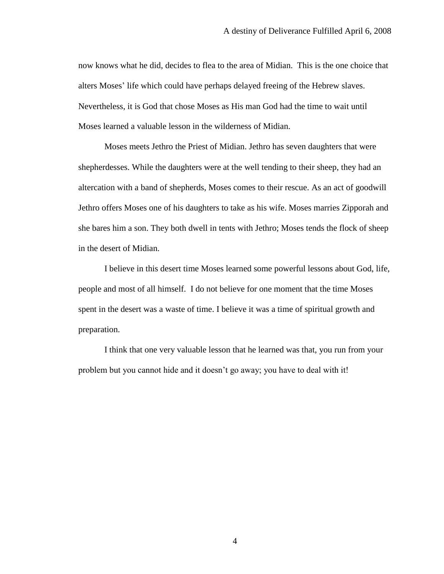now knows what he did, decides to flea to the area of Midian. This is the one choice that alters Moses' life which could have perhaps delayed freeing of the Hebrew slaves. Nevertheless, it is God that chose Moses as His man God had the time to wait until Moses learned a valuable lesson in the wilderness of Midian.

Moses meets Jethro the Priest of Midian. Jethro has seven daughters that were shepherdesses. While the daughters were at the well tending to their sheep, they had an altercation with a band of shepherds, Moses comes to their rescue. As an act of goodwill Jethro offers Moses one of his daughters to take as his wife. Moses marries Zipporah and she bares him a son. They both dwell in tents with Jethro; Moses tends the flock of sheep in the desert of Midian.

I believe in this desert time Moses learned some powerful lessons about God, life, people and most of all himself. I do not believe for one moment that the time Moses spent in the desert was a waste of time. I believe it was a time of spiritual growth and preparation.

I think that one very valuable lesson that he learned was that, you run from your problem but you cannot hide and it doesn't go away; you have to deal with it!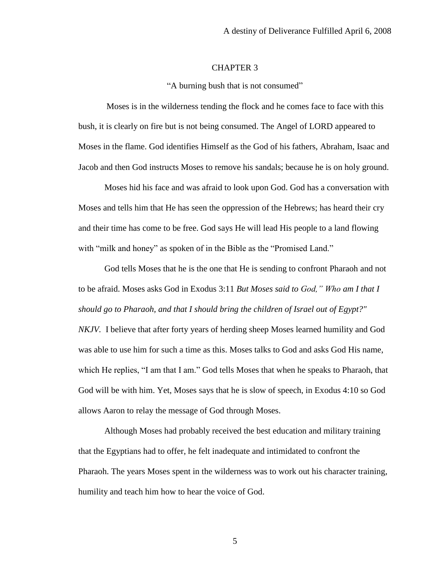#### CHAPTER 3

"A burning bush that is not consumed"

Moses is in the wilderness tending the flock and he comes face to face with this bush, it is clearly on fire but is not being consumed. The Angel of LORD appeared to Moses in the flame. God identifies Himself as the God of his fathers, Abraham, Isaac and Jacob and then God instructs Moses to remove his sandals; because he is on holy ground.

Moses hid his face and was afraid to look upon God. God has a conversation with Moses and tells him that He has seen the oppression of the Hebrews; has heard their cry and their time has come to be free. God says He will lead His people to a land flowing with "milk and honey" as spoken of in the Bible as the "Promised Land."

God tells Moses that he is the one that He is sending to confront Pharaoh and not to be afraid. Moses asks God in Exodus 3:11 *But Moses said to God," Who am I that I should go to Pharaoh, and that I should bring the children of Israel out of Egypt?" NKJV.* I believe that after forty years of herding sheep Moses learned humility and God

was able to use him for such a time as this. Moses talks to God and asks God His name, which He replies, "I am that I am." God tells Moses that when he speaks to Pharaoh, that God will be with him. Yet, Moses says that he is slow of speech, in Exodus 4:10 so God allows Aaron to relay the message of God through Moses.

Although Moses had probably received the best education and military training that the Egyptians had to offer, he felt inadequate and intimidated to confront the Pharaoh. The years Moses spent in the wilderness was to work out his character training, humility and teach him how to hear the voice of God.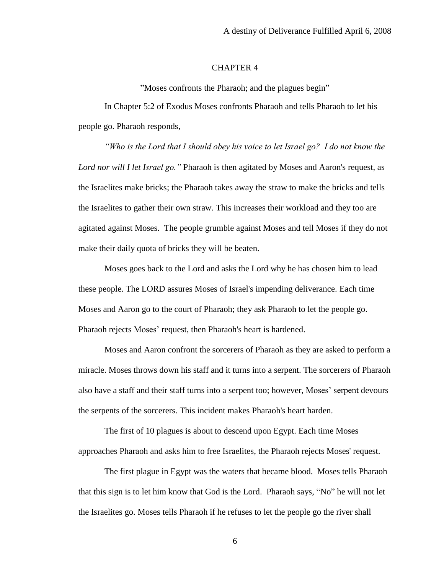#### CHAPTER 4

"Moses confronts the Pharaoh; and the plagues begin"

In Chapter 5:2 of Exodus Moses confronts Pharaoh and tells Pharaoh to let his people go. Pharaoh responds,

*"Who is the Lord that I should obey his voice to let Israel go? I do not know the Lord nor will I let Israel go."* Pharaoh is then agitated by Moses and Aaron's request, as the Israelites make bricks; the Pharaoh takes away the straw to make the bricks and tells the Israelites to gather their own straw. This increases their workload and they too are agitated against Moses. The people grumble against Moses and tell Moses if they do not make their daily quota of bricks they will be beaten.

Moses goes back to the Lord and asks the Lord why he has chosen him to lead these people. The LORD assures Moses of Israel's impending deliverance. Each time Moses and Aaron go to the court of Pharaoh; they ask Pharaoh to let the people go. Pharaoh rejects Moses' request, then Pharaoh's heart is hardened.

Moses and Aaron confront the sorcerers of Pharaoh as they are asked to perform a miracle. Moses throws down his staff and it turns into a serpent. The sorcerers of Pharaoh also have a staff and their staff turns into a serpent too; however, Moses' serpent devours the serpents of the sorcerers. This incident makes Pharaoh's heart harden.

The first of 10 plagues is about to descend upon Egypt. Each time Moses approaches Pharaoh and asks him to free Israelites, the Pharaoh rejects Moses' request.

The first plague in Egypt was the waters that became blood. Moses tells Pharaoh that this sign is to let him know that God is the Lord. Pharaoh says, "No" he will not let the Israelites go. Moses tells Pharaoh if he refuses to let the people go the river shall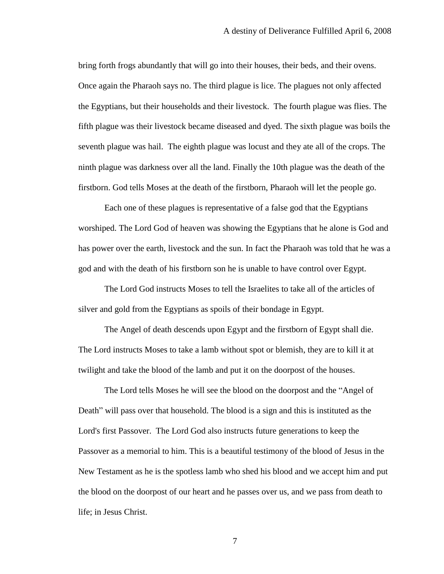bring forth frogs abundantly that will go into their houses, their beds, and their ovens. Once again the Pharaoh says no. The third plague is lice. The plagues not only affected the Egyptians, but their households and their livestock. The fourth plague was flies. The fifth plague was their livestock became diseased and dyed. The sixth plague was boils the seventh plague was hail. The eighth plague was locust and they ate all of the crops. The ninth plague was darkness over all the land. Finally the 10th plague was the death of the firstborn. God tells Moses at the death of the firstborn, Pharaoh will let the people go.

Each one of these plagues is representative of a false god that the Egyptians worshiped. The Lord God of heaven was showing the Egyptians that he alone is God and has power over the earth, livestock and the sun. In fact the Pharaoh was told that he was a god and with the death of his firstborn son he is unable to have control over Egypt.

The Lord God instructs Moses to tell the Israelites to take all of the articles of silver and gold from the Egyptians as spoils of their bondage in Egypt.

The Angel of death descends upon Egypt and the firstborn of Egypt shall die. The Lord instructs Moses to take a lamb without spot or blemish, they are to kill it at twilight and take the blood of the lamb and put it on the doorpost of the houses.

The Lord tells Moses he will see the blood on the doorpost and the "Angel of Death" will pass over that household. The blood is a sign and this is instituted as the Lord's first Passover. The Lord God also instructs future generations to keep the Passover as a memorial to him. This is a beautiful testimony of the blood of Jesus in the New Testament as he is the spotless lamb who shed his blood and we accept him and put the blood on the doorpost of our heart and he passes over us, and we pass from death to life; in Jesus Christ.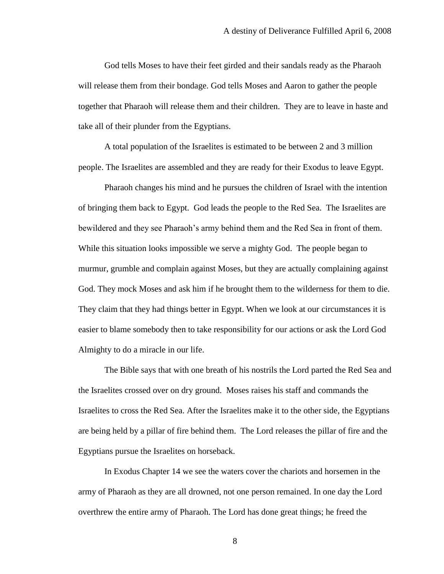God tells Moses to have their feet girded and their sandals ready as the Pharaoh will release them from their bondage. God tells Moses and Aaron to gather the people together that Pharaoh will release them and their children. They are to leave in haste and take all of their plunder from the Egyptians.

A total population of the Israelites is estimated to be between 2 and 3 million people. The Israelites are assembled and they are ready for their Exodus to leave Egypt.

Pharaoh changes his mind and he pursues the children of Israel with the intention of bringing them back to Egypt. God leads the people to the Red Sea. The Israelites are bewildered and they see Pharaoh's army behind them and the Red Sea in front of them. While this situation looks impossible we serve a mighty God. The people began to murmur, grumble and complain against Moses, but they are actually complaining against God. They mock Moses and ask him if he brought them to the wilderness for them to die. They claim that they had things better in Egypt. When we look at our circumstances it is easier to blame somebody then to take responsibility for our actions or ask the Lord God Almighty to do a miracle in our life.

The Bible says that with one breath of his nostrils the Lord parted the Red Sea and the Israelites crossed over on dry ground. Moses raises his staff and commands the Israelites to cross the Red Sea. After the Israelites make it to the other side, the Egyptians are being held by a pillar of fire behind them. The Lord releases the pillar of fire and the Egyptians pursue the Israelites on horseback.

In Exodus Chapter 14 we see the waters cover the chariots and horsemen in the army of Pharaoh as they are all drowned, not one person remained. In one day the Lord overthrew the entire army of Pharaoh. The Lord has done great things; he freed the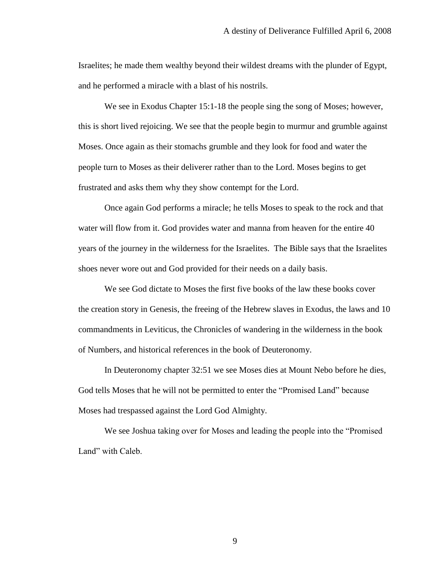Israelites; he made them wealthy beyond their wildest dreams with the plunder of Egypt, and he performed a miracle with a blast of his nostrils.

We see in Exodus Chapter 15:1-18 the people sing the song of Moses; however, this is short lived rejoicing. We see that the people begin to murmur and grumble against Moses. Once again as their stomachs grumble and they look for food and water the people turn to Moses as their deliverer rather than to the Lord. Moses begins to get frustrated and asks them why they show contempt for the Lord.

Once again God performs a miracle; he tells Moses to speak to the rock and that water will flow from it. God provides water and manna from heaven for the entire 40 years of the journey in the wilderness for the Israelites. The Bible says that the Israelites shoes never wore out and God provided for their needs on a daily basis.

We see God dictate to Moses the first five books of the law these books cover the creation story in Genesis, the freeing of the Hebrew slaves in Exodus, the laws and 10 commandments in Leviticus, the Chronicles of wandering in the wilderness in the book of Numbers, and historical references in the book of Deuteronomy.

In Deuteronomy chapter 32:51 we see Moses dies at Mount Nebo before he dies, God tells Moses that he will not be permitted to enter the "Promised Land" because Moses had trespassed against the Lord God Almighty.

We see Joshua taking over for Moses and leading the people into the "Promised Land" with Caleb.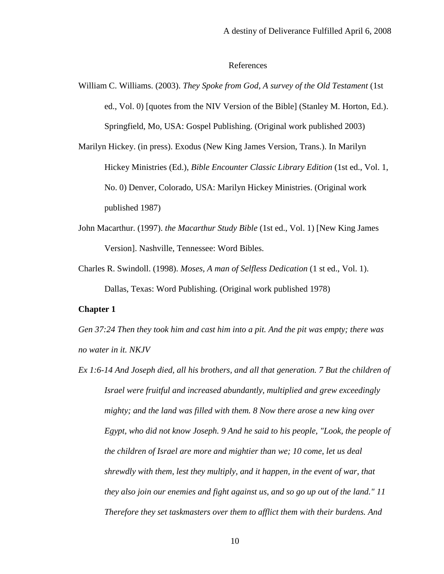## References

William C. Williams. (2003). *They Spoke from God, A survey of the Old Testament* (1st ed., Vol. 0) [quotes from the NIV Version of the Bible] (Stanley M. Horton, Ed.). Springfield, Mo, USA: Gospel Publishing. (Original work published 2003)

Marilyn Hickey. (in press). Exodus (New King James Version, Trans.). In Marilyn Hickey Ministries (Ed.), *Bible Encounter Classic Library Edition* (1st ed., Vol. 1, No. 0) Denver, Colorado, USA: Marilyn Hickey Ministries. (Original work published 1987)

- John Macarthur. (1997). *the Macarthur Study Bible* (1st ed., Vol. 1) [New King James Version]. Nashville, Tennessee: Word Bibles.
- Charles R. Swindoll. (1998). *Moses, A man of Selfless Dedication* (1 st ed., Vol. 1). Dallas, Texas: Word Publishing. (Original work published 1978)

#### **Chapter 1**

*Gen 37:24 Then they took him and cast him into a pit. And the pit was empty; there was no water in it. NKJV*

*Ex 1:6-14 And Joseph died, all his brothers, and all that generation. 7 But the children of Israel were fruitful and increased abundantly, multiplied and grew exceedingly mighty; and the land was filled with them. 8 Now there arose a new king over Egypt, who did not know Joseph. 9 And he said to his people, "Look, the people of the children of Israel are more and mightier than we; 10 come, let us deal shrewdly with them, lest they multiply, and it happen, in the event of war, that they also join our enemies and fight against us, and so go up out of the land." 11 Therefore they set taskmasters over them to afflict them with their burdens. And*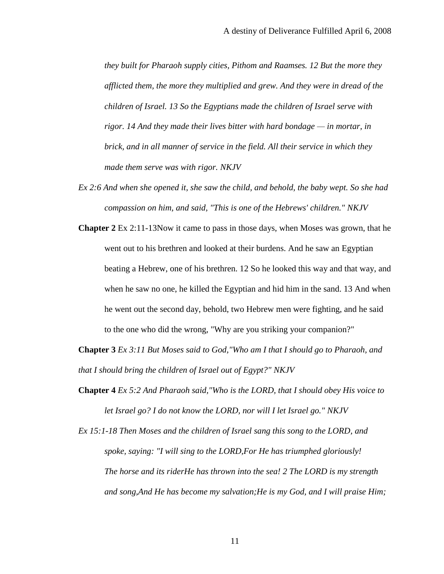*they built for Pharaoh supply cities, Pithom and Raamses. 12 But the more they afflicted them, the more they multiplied and grew. And they were in dread of the children of Israel. 13 So the Egyptians made the children of Israel serve with rigor. 14 And they made their lives bitter with hard bondage — in mortar, in brick, and in all manner of service in the field. All their service in which they made them serve was with rigor. NKJV*

- *Ex 2:6 And when she opened it, she saw the child, and behold, the baby wept. So she had compassion on him, and said, "This is one of the Hebrews' children." NKJV*
- **Chapter 2** Ex 2:11-13Now it came to pass in those days, when Moses was grown, that he went out to his brethren and looked at their burdens. And he saw an Egyptian beating a Hebrew, one of his brethren. 12 So he looked this way and that way, and when he saw no one, he killed the Egyptian and hid him in the sand. 13 And when he went out the second day, behold, two Hebrew men were fighting, and he said to the one who did the wrong, "Why are you striking your companion?"
- **Chapter 3** *Ex 3:11 But Moses said to God,"Who am I that I should go to Pharaoh, and that I should bring the children of Israel out of Egypt?" NKJV*
- **Chapter 4** *Ex 5:2 And Pharaoh said,"Who is the LORD, that I should obey His voice to let Israel go? I do not know the LORD, nor will I let Israel go." NKJV*
- *Ex 15:1-18 Then Moses and the children of Israel sang this song to the LORD, and spoke, saying: "I will sing to the LORD,For He has triumphed gloriously! The horse and its riderHe has thrown into the sea! 2 The LORD is my strength and song,And He has become my salvation;He is my God, and I will praise Him;*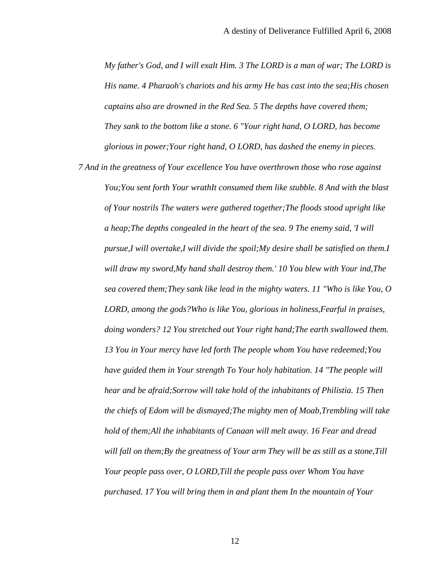*My father's God, and I will exalt Him. 3 The LORD is a man of war; The LORD is His name. 4 Pharaoh's chariots and his army He has cast into the sea;His chosen captains also are drowned in the Red Sea. 5 The depths have covered them; They sank to the bottom like a stone. 6 "Your right hand, O LORD, has become glorious in power;Your right hand, O LORD, has dashed the enemy in pieces.* 

*7 And in the greatness of Your excellence You have overthrown those who rose against You;You sent forth Your wrathIt consumed them like stubble. 8 And with the blast of Your nostrils The waters were gathered together;The floods stood upright like a heap;The depths congealed in the heart of the sea. 9 The enemy said, 'I will pursue,I will overtake,I will divide the spoil;My desire shall be satisfied on them.I will draw my sword,My hand shall destroy them.' 10 You blew with Your ind,The sea covered them;They sank like lead in the mighty waters. 11 "Who is like You, O LORD, among the gods?Who is like You, glorious in holiness,Fearful in praises, doing wonders? 12 You stretched out Your right hand;The earth swallowed them. 13 You in Your mercy have led forth The people whom You have redeemed;You have guided them in Your strength To Your holy habitation. 14 "The people will hear and be afraid;Sorrow will take hold of the inhabitants of Philistia. 15 Then the chiefs of Edom will be dismayed;The mighty men of Moab,Trembling will take hold of them;All the inhabitants of Canaan will melt away. 16 Fear and dread will fall on them;By the greatness of Your arm They will be as still as a stone,Till Your people pass over, O LORD,Till the people pass over Whom You have purchased. 17 You will bring them in and plant them In the mountain of Your*